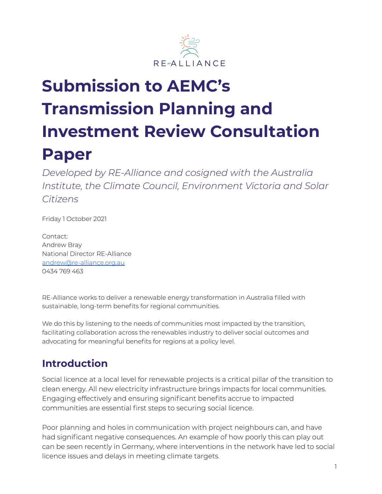

# **Submission to AEMC's Transmission Planning and Investment Review Consultation Paper**

*Developed by RE-Alliance and cosigned with the Australia Institute, the Climate Council, Environment Victoria and Solar Citizens*

Friday 1 October 2021

Contact: Andrew Bray National Director RE-Alliance [andrew@re-alliance.org.au](mailto:andrew@re-alliance.org.au) 0434 769 463

RE-Alliance works to deliver a renewable energy transformation in Australia filled with sustainable, long-term benefits for regional communities.

We do this by listening to the needs of communities most impacted by the transition, facilitating collaboration across the renewables industry to deliver social outcomes and advocating for meaningful benefits for regions at a policy level.

# **Introduction**

Social licence at a local level for renewable projects is a critical pillar of the transition to clean energy. All new electricity infrastructure brings impacts for local communities. Engaging effectively and ensuring significant benefits accrue to impacted communities are essential first steps to securing social licence.

Poor planning and holes in communication with project neighbours can, and have had significant negative consequences. An example of how poorly this can play out can be seen recently in Germany, where interventions in the network have led to social licence issues and delays in meeting climate targets.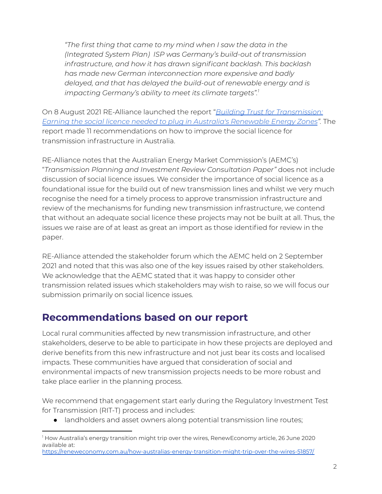*"The first thing that came to my mind when I saw the data in the (Integrated System Plan) ISP was Germany's build-out of transmission infrastructure, and how it has drawn significant backlash. This backlash has made new German interconnection more expensive and badly delayed, and that has delayed the build-out of renewable energy and is impacting Germany's ability to meet its climate targets". 1*

On 8 August 2021 RE-Alliance launched the report "*Building Trust for [Transmission:](https://d3n8a8pro7vhmx.cloudfront.net/vicwind/pages/2620/attachments/original/1627960128/RE-Alliance_July_21_Building_Trust_for_Transmission_Earning_the_social_licence_needed_to_plug_in_Australia) Earning the social licence needed to plug in Australia's [Renewable](https://d3n8a8pro7vhmx.cloudfront.net/vicwind/pages/2620/attachments/original/1627960128/RE-Alliance_July_21_Building_Trust_for_Transmission_Earning_the_social_licence_needed_to_plug_in_Australia) Energy Zones".* The report made 11 recommendations on how to improve the social licence for transmission infrastructure in Australia.

RE-Alliance notes that the Australian Energy Market Commission's (AEMC's) "*Transmission Planning and Investment Review Consultation Paper"* does not include discussion of social licence issues. We consider the importance of social licence as a foundational issue for the build out of new transmission lines and whilst we very much recognise the need for a timely process to approve transmission infrastructure and review of the mechanisms for funding new transmission infrastructure, we contend that without an adequate social licence these projects may not be built at all. Thus, the issues we raise are of at least as great an import as those identified for review in the paper.

RE-Alliance attended the stakeholder forum which the AEMC held on 2 September 2021 and noted that this was also one of the key issues raised by other stakeholders. We acknowledge that the AEMC stated that it was happy to consider other transmission related issues which stakeholders may wish to raise, so we will focus our submission primarily on social licence issues.

## **Recommendations based on our report**

Local rural communities affected by new transmission infrastructure, and other stakeholders, deserve to be able to participate in how these projects are deployed and derive benefits from this new infrastructure and not just bear its costs and localised impacts. These communities have argued that consideration of social and environmental impacts of new transmission projects needs to be more robust and take place earlier in the planning process.

We recommend that engagement start early during the Regulatory Investment Test for Transmission (RIT-T) process and includes:

landholders and asset owners along potential transmission line routes;

 $1$  How Australia's energy transition might trip over the wires, RenewEconomy article, 26 June 2020 available at:

<https://reneweconomy.com.au/how-australias-energy-transition-might-trip-over-the-wires-51857/>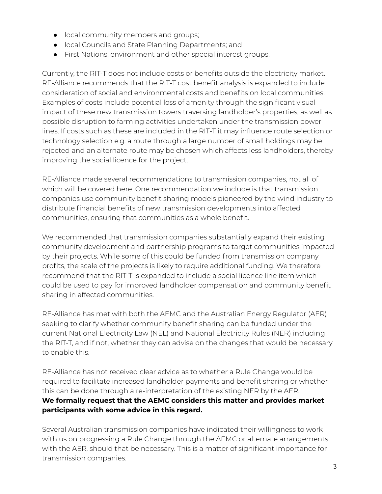- local community members and groups;
- local Councils and State Planning Departments; and
- First Nations, environment and other special interest groups.

Currently, the RIT-T does not include costs or benefits outside the electricity market. RE-Alliance recommends that the RIT-T cost benefit analysis is expanded to include consideration of social and environmental costs and benefits on local communities. Examples of costs include potential loss of amenity through the significant visual impact of these new transmission towers traversing landholder's properties, as well as possible disruption to farming activities undertaken under the transmission power lines. If costs such as these are included in the RIT-T it may influence route selection or technology selection e.g. a route through a large number of small holdings may be rejected and an alternate route may be chosen which affects less landholders, thereby improving the social licence for the project.

RE-Alliance made several recommendations to transmission companies, not all of which will be covered here. One recommendation we include is that transmission companies use community benefit sharing models pioneered by the wind industry to distribute financial benefits of new transmission developments into affected communities, ensuring that communities as a whole benefit.

We recommended that transmission companies substantially expand their existing community development and partnership programs to target communities impacted by their projects. While some of this could be funded from transmission company profits, the scale of the projects is likely to require additional funding. We therefore recommend that the RIT-T is expanded to include a social licence line item which could be used to pay for improved landholder compensation and community benefit sharing in affected communities.

RE-Alliance has met with both the AEMC and the Australian Energy Regulator (AER) seeking to clarify whether community benefit sharing can be funded under the current National Electricity Law (NEL) and National Electricity Rules (NER) including the RIT-T, and if not, whether they can advise on the changes that would be necessary to enable this.

RE-Alliance has not received clear advice as to whether a Rule Change would be required to facilitate increased landholder payments and benefit sharing or whether this can be done through a re-interpretation of the existing NER by the AER. **We formally request that the AEMC considers this matter and provides market participants with some advice in this regard.**

Several Australian transmission companies have indicated their willingness to work with us on progressing a Rule Change through the AEMC or alternate arrangements with the AER, should that be necessary. This is a matter of significant importance for transmission companies.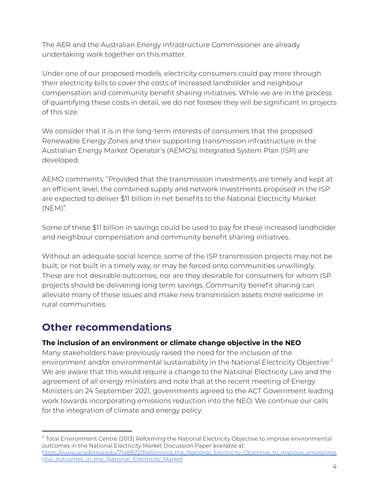The AER and the Australian Energy Infrastructure Commissioner are already undertaking work together on this matter.

Under one of our proposed models, electricity consumers could pay more through their electricity bills to cover the costs of increased landholder and neighbour compensation and community benefit sharing initiatives. While we are in the process of quantifying these costs in detail, we do not foresee they will be significant in projects of this size.

We consider that it is in the long-term interests of consumers that the proposed Renewable Energy Zones and their supporting transmission infrastructure in the Australian Energy Market Operator's (AEMO's) Integrated System Plan (ISP) are developed.

AEMO comments: "Provided that the transmission investments are timely and kept at an efficient level, the combined supply and network investments proposed in the ISP are expected to deliver \$11 billion in net benefits to the National Electricity Market (NEM)".

Some of these \$11 billion in savings could be used to pay for these increased landholder and neighbour compensation and community benefit sharing initiatives.

Without an adequate social licence, some of the ISP transmission projects may not be built, or not built in a timely way, or may be forced onto communities unwillingly. These are not desirable outcomes, nor are they desirable for consumers for whom ISP projects should be delivering long term savings. Community benefit sharing can alleviate many of these issues and make new transmission assets more welcome in rural communities.

# **Other recommendations**

## **The inclusion of an environment or climate change objective in the NEO**

Many stakeholders have previously raised the need for the inclusion of the environment and/or environmental sustainability in the National Electricity Objective. 2 We are aware that this would require a change to the National Electricity Law and the agreement of all energy ministers and note that at the recent meeting of Energy Ministers on 24 September 2021, governments agreed to the ACT Government leading work towards incorporating emissions reduction into the NEO. We continue our calls for the integration of climate and energy policy.

 $<sup>2</sup>$  Total Environment Centre (2013) Reforming the National Electricity Objective to improve environmental</sup> outcomes in the National Electricity Market Discussion Paper available at: [https://www.academia.edu/7148822/Reforming\\_the\\_National\\_Electricity\\_Objective\\_to\\_improve\\_environme](https://www.academia.edu/7148822/Reforming_the_National_Electricity_Objective_to_improve_environmental_outcomes_in_the_National_Electricity_Market)

[ntal\\_outcomes\\_in\\_the\\_National\\_Electricity\\_Market](https://www.academia.edu/7148822/Reforming_the_National_Electricity_Objective_to_improve_environmental_outcomes_in_the_National_Electricity_Market)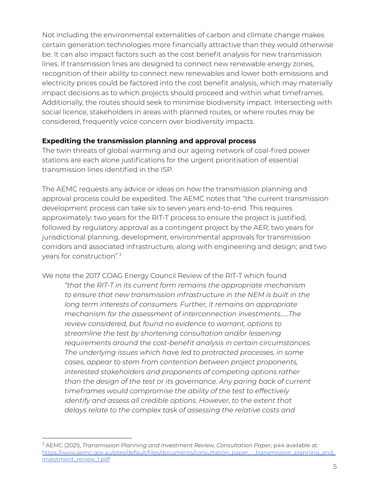Not including the environmental externalities of carbon and climate change makes certain generation technologies more financially attractive than they would otherwise be. It can also impact factors such as the cost benefit analysis for new transmission lines. If transmission lines are designed to connect new renewable energy zones, recognition of their ability to connect new renewables and lower both emissions and electricity prices could be factored into the cost benefit analysis, which may materially impact decisions as to which projects should proceed and within what timeframes. Additionally, the routes should seek to minimise biodiversity impact. Intersecting with social licence, stakeholders in areas with planned routes, or where routes may be considered, frequently voice concern over biodiversity impacts.

## **Expediting the transmission planning and approval process**

The twin threats of global warming and our ageing network of coal-fired power stations are each alone justifications for the urgent prioritisation of essential transmission lines identified in the ISP.

The AEMC requests any advice or ideas on how the transmission planning and approval process could be expedited. The AEMC notes that "the current transmission development process can take six to seven years end-to-end. This requires approximately: two years for the RIT-T process to ensure the project is justified, followed by regulatory approval as a contingent project by the AER; two years for jurisdictional planning, development, environmental approvals for transmission corridors and associated infrastructure, along with engineering and design; and two years for construction".<sup>3</sup>

We note the 2017 COAG Energy Council Review of the RIT-T which found *"that the RIT-T in its current form remains the appropriate mechanism to ensure that new transmission infrastructure in the NEM is built in the long term interests of consumers. Further, it remains an appropriate mechanism for the assessment of interconnection investments…...The review considered, but found no evidence to warrant, options to streamline the test by shortening consultation and/or lessening requirements around the cost-benefit analysis in certain circumstances. The underlying issues which have led to protracted processes, in some cases, appear to stem from contention between project proponents, interested stakeholders and proponents of competing options rather than the design of the test or its governance. Any paring back of current timeframes would compromise the ability of the test to effectively identify and assess all credible options. However, to the extent that delays relate to the complex task of assessing the relative costs and*

<sup>3</sup> AEMC (2021), *Transmission Planning and investment Review, Consultation Paper*, p44 available at: [https://www.aemc.gov.au/sites/default/files/documents/consultation\\_paper\\_-\\_transmission\\_planning\\_and\\_](https://www.aemc.gov.au/sites/default/files/documents/consultation_paper_-_transmission_planning_and_investment_review_1.pdf) [investment\\_review\\_1.pdf](https://www.aemc.gov.au/sites/default/files/documents/consultation_paper_-_transmission_planning_and_investment_review_1.pdf)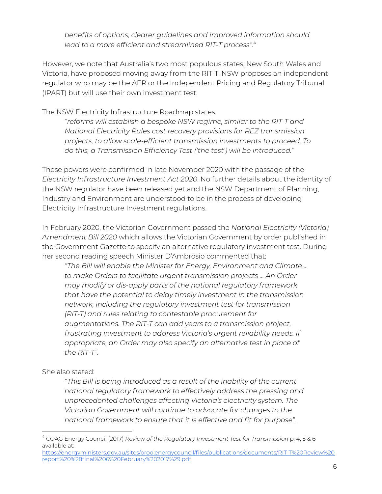*benefits of options, clearer guidelines and improved information should lead to a more efficient and streamlined RIT-T process".* 4

However, we note that Australia's two most populous states, New South Wales and Victoria, have proposed moving away from the RIT-T. NSW proposes an independent regulator who may be the AER or the Independent Pricing and Regulatory Tribunal (IPART) but will use their own investment test.

The NSW Electricity Infrastructure Roadmap states:

*"reforms will establish a bespoke NSW regime, similar to the RIT-T and National Electricity Rules cost recovery provisions for REZ transmission projects, to allow scale-efficient transmission investments to proceed. To do this, a Transmission Efficiency Test ('the test') will be introduced."*

These powers were confirmed in late November 2020 with the passage of the *Electricity Infrastructure Investment Act 2020*. No further details about the identity of the NSW regulator have been released yet and the NSW Department of Planning, Industry and Environment are understood to be in the process of developing Electricity Infrastructure Investment regulations.

In February 2020, the Victorian Government passed the *National Electricity (Victoria) Amendment Bill 2020* which allows the Victorian Government by order published in the Government Gazette to specify an alternative regulatory investment test. During her second reading speech Minister D'Ambrosio commented that:

*"The Bill will enable the Minister for Energy, Environment and Climate ... to make Orders to facilitate urgent transmission projects ... An Order may modify or dis-apply parts of the national regulatory framework that have the potential to delay timely investment in the transmission network, including the regulatory investment test for transmission (RIT-T) and rules relating to contestable procurement for augmentations. The RIT-T can add years to a transmission project, frustrating investment to address Victoria's urgent reliability needs. If appropriate, an Order may also specify an alternative test in place of the RIT-T".*

She also stated:

*"This Bill is being introduced as a result of the inability of the current national regulatory framework to effectively address the pressing and unprecedented challenges affecting Victoria's electricity system. The Victorian Government will continue to advocate for changes to the national framework to ensure that it is effective and fit for purpose".*

<sup>4</sup> COAG Energy Council (2017) *Review of the Regulatory Investment Test for Transmission* p. 4, 5 & 6 available at:

[https://energyministers.gov.au/sites/prod.energycouncil/files/publications/documents/RIT-T%20Review%20](https://energyministers.gov.au/sites/prod.energycouncil/files/publications/documents/RIT-T%20Review%20report%20%28final%206%20February%202017%29.pdf) [report%20%28final%206%20February%202017%29.pdf](https://energyministers.gov.au/sites/prod.energycouncil/files/publications/documents/RIT-T%20Review%20report%20%28final%206%20February%202017%29.pdf)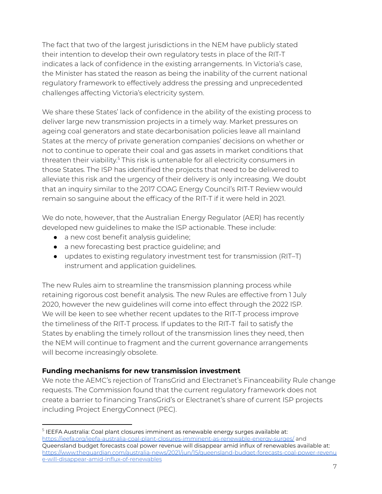The fact that two of the largest jurisdictions in the NEM have publicly stated their intention to develop their own regulatory tests in place of the RIT-T indicates a lack of confidence in the existing arrangements. In Victoria's case, the Minister has stated the reason as being the inability of the current national regulatory framework to effectively address the pressing and unprecedented challenges affecting Victoria's electricity system.

We share these States' lack of confidence in the ability of the existing process to deliver large new transmission projects in a timely way. Market pressures on ageing coal generators and state decarbonisation policies leave all mainland States at the mercy of private generation companies' decisions on whether or not to continue to operate their coal and gas assets in market conditions that threaten their viability.<sup>5</sup> This risk is untenable for all electricity consumers in those States. The ISP has identified the projects that need to be delivered to alleviate this risk and the urgency of their delivery is only increasing. We doubt that an inquiry similar to the 2017 COAG Energy Council's RIT-T Review would remain so sanguine about the efficacy of the RIT-T if it were held in 2021.

We do note, however, that the Australian Energy Regulator (AER) has recently developed new guidelines to make the ISP actionable. These include:

- a new cost benefit analysis guideline;
- a new forecasting best practice guideline; and
- updates to existing regulatory investment test for transmission (RIT–T) instrument and application guidelines.

The new Rules aim to streamline the transmission planning process while retaining rigorous cost benefit analysis. The new Rules are effective from 1 July 2020, however the new guidelines will come into effect through the 2022 ISP. We will be keen to see whether recent updates to the RIT-T process improve the timeliness of the RIT-T process. If updates to the RIT-T fail to satisfy the States by enabling the timely rollout of the transmission lines they need, then the NEM will continue to fragment and the current governance arrangements will become increasingly obsolete.

## **Funding mechanisms for new transmission investment**

We note the AEMC's rejection of TransGrid and Electranet's Financeability Rule change requests. The Commission found that the current regulatory framework does not create a barrier to financing TransGrid's or Electranet's share of current ISP projects including Project EnergyConnect (PEC).

 $^{\rm 5}$  IEEFA Australia: Coal plant closures imminent as [renewable](https://ieefa.org/ieefa-australia-coal-plant-closures-imminent-as-renewable-energy-surges/) energy surges available at: <https://ieefa.org/ieefa-australia-coal-plant-closures-imminent-as-renewable-energy-surges/> and Queensland budget forecasts coal power revenue will disappear amid influx of renewables available at: [https://www.theguardian.com/australia-news/2021/jun/15/queensland-budget-forecasts-coal-power-revenu](https://www.theguardian.com/australia-news/2021/jun/15/queensland-budget-forecasts-coal-power-revenue-will-disappear-amid-influx-of-renewables) [e-will-disappear-amid-influx-of-renewables](https://www.theguardian.com/australia-news/2021/jun/15/queensland-budget-forecasts-coal-power-revenue-will-disappear-amid-influx-of-renewables)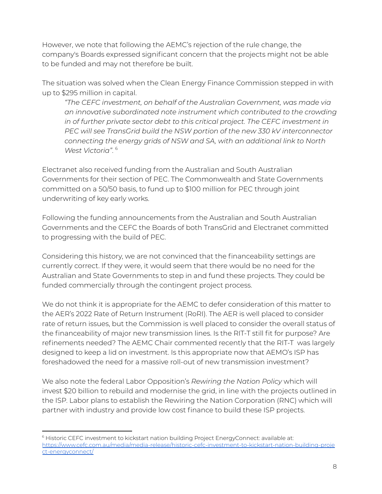However, we note that following the AEMC's rejection of the rule change, the company's Boards expressed significant concern that the projects might not be able to be funded and may not therefore be built.

The situation was solved when the Clean Energy Finance Commission stepped in with up to \$295 million in capital.

*"The CEFC investment, on behalf of the Australian Government, was made via an innovative subordinated note instrument which contributed to the crowding in of further private sector debt to this critical project. The CEFC investment in PEC will see TransGrid build the NSW portion of the new 330 kV interconnector connecting the energy grids of NSW and SA, with an additional link to North West Victoria"*. 6

Electranet also received funding from the Australian and South Australian Governments for their section of PEC. The Commonwealth and State Governments committed on a 50/50 basis, to fund up to \$100 million for PEC through joint underwriting of key early works.

Following the funding announcements from the Australian and South Australian Governments and the CEFC the Boards of both TransGrid and Electranet committed to progressing with the build of PEC.

Considering this history, we are not convinced that the financeability settings are currently correct. If they were, it would seem that there would be no need for the Australian and State Governments to step in and fund these projects. They could be funded commercially through the contingent project process.

We do not think it is appropriate for the AEMC to defer consideration of this matter to the AER's 2022 Rate of Return Instrument (RoRI). The AER is well placed to consider rate of return issues, but the Commission is well placed to consider the overall status of the financeability of major new transmission lines. Is the RIT-T still fit for purpose? Are refinements needed? The AEMC Chair commented recently that the RIT-T was largely designed to keep a lid on investment. Is this appropriate now that AEMO's ISP has foreshadowed the need for a massive roll-out of new transmission investment?

We also note the federal Labor Opposition's *Rewiring the Nation Policy* which will invest \$20 billion to rebuild and modernise the grid, in line with the projects outlined in the ISP. Labor plans to establish the Rewiring the Nation Corporation (RNC) which will partner with industry and provide low cost finance to build these ISP projects.

<sup>&</sup>lt;sup>6</sup> Historic CEFC investment to kickstart nation building Project EnergyConnect: available at: [https://www.cefc.com.au/media/media-release/historic-cefc-investment-to-kickstart-nation-building-proje](https://www.cefc.com.au/media/media-release/historic-cefc-investment-to-kickstart-nation-building-project-energyconnect/) [ct-energyconnect/](https://www.cefc.com.au/media/media-release/historic-cefc-investment-to-kickstart-nation-building-project-energyconnect/)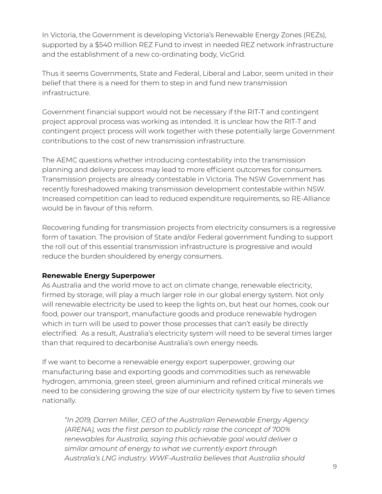In Victoria, the Government is developing Victoria's Renewable Energy Zones (REZs), supported by a \$540 million REZ Fund to invest in needed REZ network infrastructure and the establishment of a new co-ordinating body, VicGrid.

Thus it seems Governments, State and Federal, Liberal and Labor, seem united in their belief that there is a need for them to step in and fund new transmission infrastructure.

Government financial support would not be necessary if the RIT-T and contingent project approval process was working as intended. It is unclear how the RIT-T and contingent project process will work together with these potentially large Government contributions to the cost of new transmission infrastructure.

The AEMC questions whether introducing contestability into the transmission planning and delivery process may lead to more efficient outcomes for consumers. Transmission projects are already contestable in Victoria. The NSW Government has recently foreshadowed making transmission development contestable within NSW. Increased competition can lead to reduced expenditure requirements, so RE-Alliance would be in favour of this reform.

Recovering funding for transmission projects from electricity consumers is a regressive form of taxation. The provision of State and/or Federal government funding to support the roll out of this essential transmission infrastructure is progressive and would reduce the burden shouldered by energy consumers.

#### **Renewable Energy Superpower**

As Australia and the world move to act on climate change, renewable electricity, firmed by storage, will play a much larger role in our global energy system. Not only will renewable electricity be used to keep the lights on, but heat our homes, cook our food, power our transport, manufacture goods and produce renewable hydrogen which in turn will be used to power those processes that can't easily be directly electrified. As a result, Australia's electricity system will need to be several times larger than that required to decarbonise Australia's own energy needs.

If we want to become a renewable energy export superpower, growing our manufacturing base and exporting goods and commodities such as renewable hydrogen, ammonia, green steel, green aluminium and refined critical minerals we need to be considering growing the size of our electricity system by five to seven times nationally.

*"In 2019, Darren Miller, CEO of the Australian Renewable Energy Agency (ARENA), was the first person to publicly raise the concept of 700% renewables for Australia, saying this achievable goal would deliver a similar amount of energy to what we currently export through Australia's LNG industry. WWF-Australia believes that Australia should*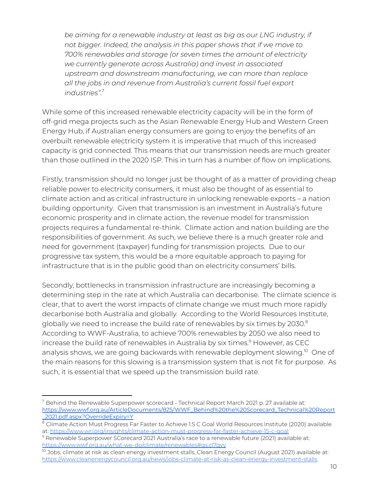*be aiming for a renewable industry at least as big as our LNG industry, if not bigger. Indeed, the analysis in this paper shows that if we move to 700% renewables and storage (or seven times the amount of electricity we currently generate across Australia) and invest in associated upstream and downstream manufacturing, we can more than replace all the jobs in and revenue from Australia's current fossil fuel export industries". 7*

While some of this increased renewable electricity capacity will be in the form of off-grid mega projects such as the Asian Renewable Energy Hub and Western Green Energy Hub, if Australian energy consumers are going to enjoy the benefits of an overbuilt renewable electricity system it is imperative that much of this increased capacity is grid connected. This means that our transmission needs are much greater than those outlined in the 2020 ISP. This in turn has a number of flow on implications.

Firstly, transmission should no longer just be thought of as a matter of providing cheap reliable power to electricity consumers, it must also be thought of as essential to climate action and as critical infrastructure in unlocking renewable exports – a nation building opportunity. Given that transmission is an investment in Australia's future economic prosperity and in climate action, the revenue model for transmission projects requires a fundamental re-think. Climate action and nation building are the responsibilities of government. As such, we believe there is a much greater role and need for government (taxpayer) funding for transmission projects. Due to our progressive tax system, this would be a more equitable approach to paying for infrastructure that is in the public good than on electricity consumers' bills.

Secondly, bottlenecks in transmission infrastructure are increasingly becoming a determining step in the rate at which Australia can decarbonise. The climate science is clear, that to avert the worst impacts of climate change we must much more rapidly decarbonise both Australia and globally. According to the World Resources Institute, globally we need to increase the build rate of renewables by six times by 2030.8 According to WWF-Australia, to achieve 700% renewables by 2050 we also need to increase the build rate of renewables in Australia by six times. <sup>9</sup> However, as CEC analysis shows, we are going backwards with renewable deployment slowing. <sup>10</sup> One of the main reasons for this slowing is a transmission system that is not fit for purpose. As such, it is essential that we speed up the transmission build rate.

 $7$  Behind the Renewable Superpower scorecard - Technical Report March 2021 p. 27 available at: [https://www.wwf.org.au/ArticleDocuments/825/WWF\\_Behind%20the%20Scorecard\\_Technical%20Report](https://www.wwf.org.au/ArticleDocuments/825/WWF_Behind%20the%20Scorecard_Technical%20Report_2021.pdf.aspx?OverrideExpiry=Y) [\\_2021.pdf.aspx?OverrideExpiry=Y](https://www.wwf.org.au/ArticleDocuments/825/WWF_Behind%20the%20Scorecard_Technical%20Report_2021.pdf.aspx?OverrideExpiry=Y)

<sup>8</sup> Climate Action Must Progress Far Faster to Achieve 1.5 C Goal World Resources Institute (2020) available at: <https://www.wri.org/insights/climate-action-must-progress-far-faster-achieve-15-c-goal>

<sup>9</sup> Renewable Superpower SCorecard 2021 Australia's race to a renewable future (2021) available at: <https://www.wwf.org.au/what-we-do/climate/renewables#gs.cl7qvy>

 $^{10}$  Jobs, climate at risk as clean energy investment stalls, Clean Energy Council (August 2021) available at: <https://www.cleanenergycouncil.org.au/news/jobs-climate-at-risk-as-clean-energy-investment-stalls>